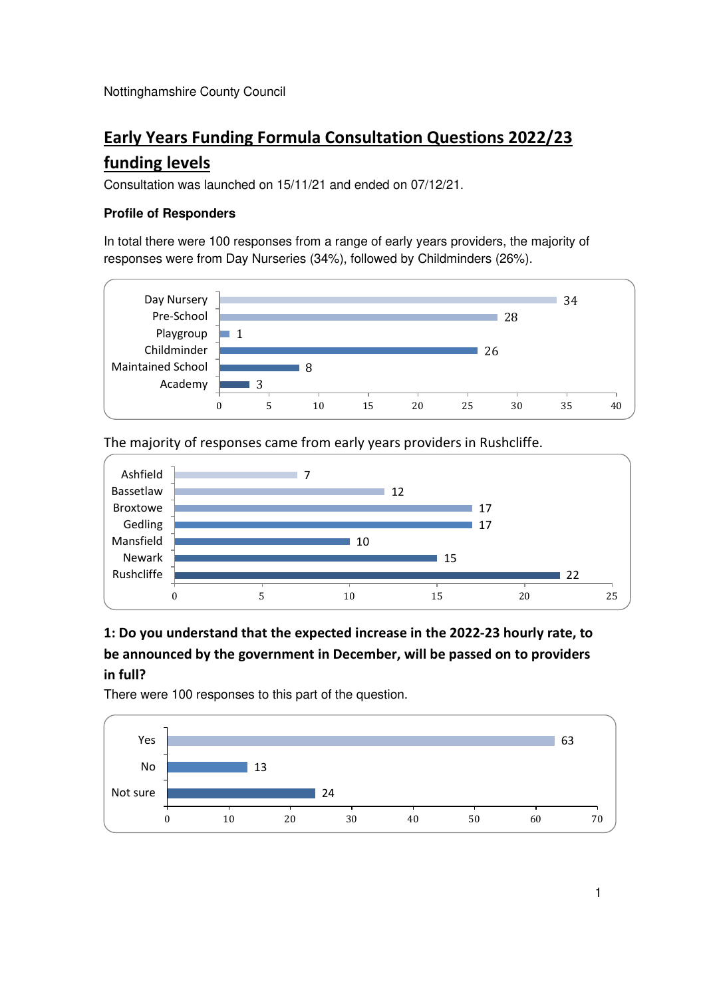Nottinghamshire County Council

# **Early Years Funding Formula Consultation Questions 2022/23**

### **funding levels**

Consultation was launched on 15/11/21 and ended on 07/12/21.

#### **Profile of Responders**

In total there were 100 responses from a range of early years providers, the majority of responses were from Day Nurseries (34%), followed by Childminders (26%).



The majority of responses came from early years providers in Rushcliffe.



## **1: Do you understand that the expected increase in the 2022-23 hourly rate, to be announced by the government in December, will be passed on to providers in full?**

There were 100 responses to this part of the question.

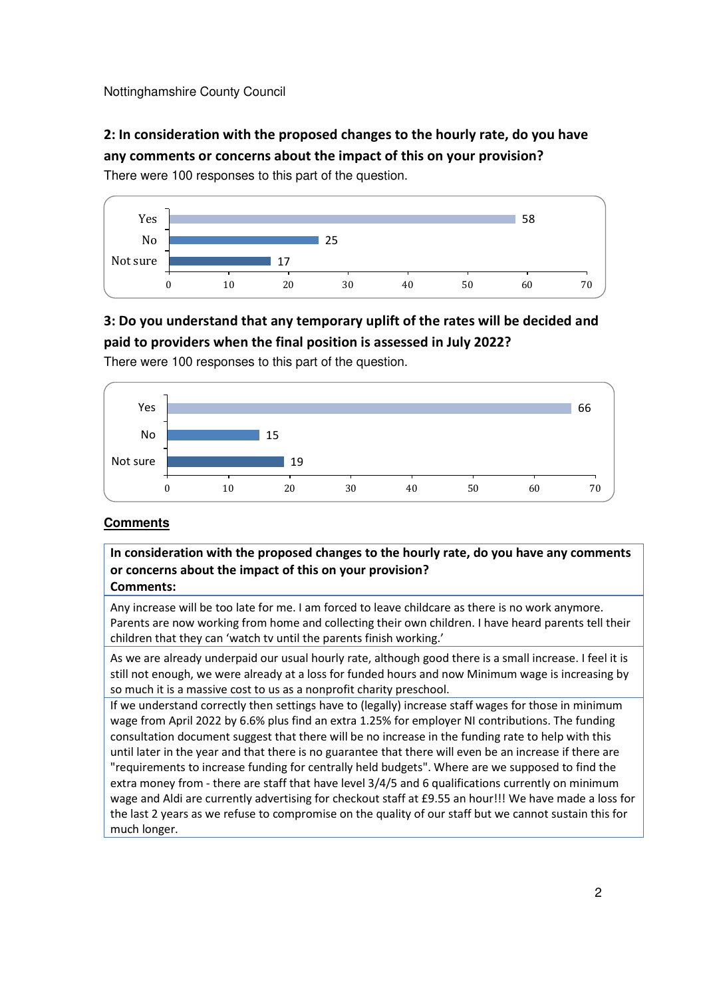Nottinghamshire County Council

**2: In consideration with the proposed changes to the hourly rate, do you have any comments or concerns about the impact of this on your provision?**  There were 100 responses to this part of the question.



### **3: Do you understand that any temporary uplift of the rates will be decided and paid to providers when the final position is assessed in July 2022?**

There were 100 responses to this part of the question.



#### **Comments**

**In consideration with the proposed changes to the hourly rate, do you have any comments or concerns about the impact of this on your provision? Comments:** 

Any increase will be too late for me. I am forced to leave childcare as there is no work anymore. Parents are now working from home and collecting their own children. I have heard parents tell their children that they can 'watch tv until the parents finish working.'

As we are already underpaid our usual hourly rate, although good there is a small increase. I feel it is still not enough, we were already at a loss for funded hours and now Minimum wage is increasing by so much it is a massive cost to us as a nonprofit charity preschool.

If we understand correctly then settings have to (legally) increase staff wages for those in minimum wage from April 2022 by 6.6% plus find an extra 1.25% for employer NI contributions. The funding consultation document suggest that there will be no increase in the funding rate to help with this until later in the year and that there is no guarantee that there will even be an increase if there are "requirements to increase funding for centrally held budgets". Where are we supposed to find the extra money from - there are staff that have level 3/4/5 and 6 qualifications currently on minimum wage and Aldi are currently advertising for checkout staff at £9.55 an hour!!! We have made a loss for the last 2 years as we refuse to compromise on the quality of our staff but we cannot sustain this for much longer.